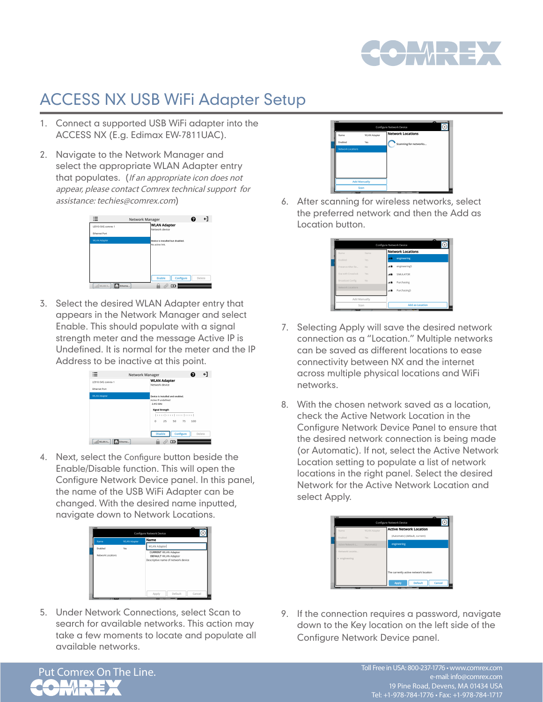

## ACCESS NX USB WiFi Adapter Setup

- 1. Connect a supported USB WiFi adapter into the ACCESS NX (E.g. Edimax EW-7811UAC).
- 2. Navigate to the Network Manager and select the appropriate WLAN Adapter entry that populates. (If an appropriate icon does not appear, please contact Comrex technical support for assistance: techies@comrex.com)



3. Select the desired WLAN Adapter entry that appears in the Network Manager and select Enable. This should populate with a signal strength meter and the message Active IP is Undefined. It is normal for the meter and the IP Address to be inactive at this point.



4. Next, select the Configure button beside the Enable/Disable function. This will open the Configure Network Device panel. In this panel, the name of the USB WiFi Adapter can be changed. With the desired name inputted, navigate down to Network Locations.



5. Under Network Connections, select Scan to search for available networks. This action may take a few moments to locate and populate all available networks.



6. After scanning for wireless networks, select the preferred network and then the Add as Location button.



- 7. Selecting Apply will save the desired network connection as a "Location." Multiple networks can be saved as different locations to ease connectivity between NX and the internet across multiple physical locations and WiFi networks.
- 8. With the chosen network saved as a location, check the Active Network Location in the Configure Network Device Panel to ensure that the desired network connection is being made (or Automatic). If not, select the Active Network Location setting to populate a list of network locations in the right panel. Select the desired Network for the Active Network Location and select Apply.



9. If the connection requires a password, navigate down to the Key location on the left side of the Configure Network Device panel.